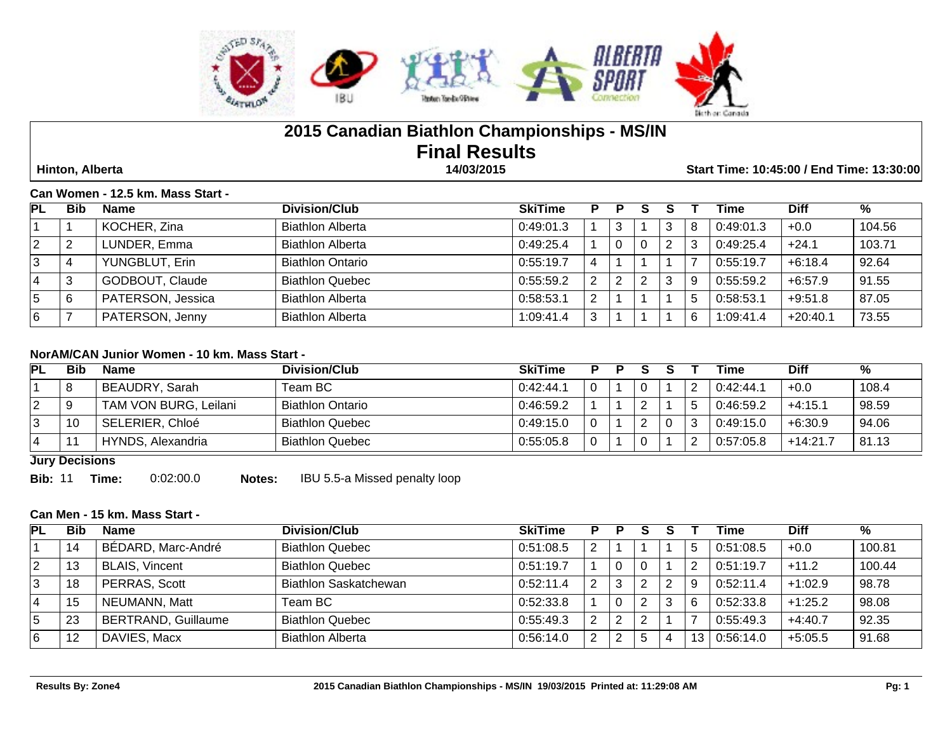

# **2015 Canadian Biathlon Championships - MS/IN Final Results**

 **Hinton, Alberta 14/03/2015 Start Time: 10:45:00 / End Time: 13:30:00**

#### **Can Women - 12.5 km. Mass Start -**

| <b>PL</b> | Bib | Name              | Division/Club           | <b>SkiTime</b> | D             | P | s |   | Time      | <b>Diff</b> | $\%$   |
|-----------|-----|-------------------|-------------------------|----------------|---------------|---|---|---|-----------|-------------|--------|
|           |     | KOCHER, Zina      | <b>Biathlon Alberta</b> | 0:49:01.3      |               |   |   | 8 | 0:49:01.3 | $+0.0$      | 104.56 |
| 2         |     | LUNDER, Emma      | <b>Biathlon Alberta</b> | 0:49:25.4      |               |   |   |   | 0:49:25.4 | $+24.1$     | 103.71 |
| 3         |     | YUNGBLUT, Erin    | <b>Biathlon Ontario</b> | 0:55:19.7      |               |   |   |   | 0:55:19.7 | $+6:18.4$   | 92.64  |
|           |     | GODBOUT, Claude   | <b>Biathlon Quebec</b>  | 0:55:59.2      | $\mathcal{P}$ | ာ | 2 |   | 0:55:59.2 | +6:57.9     | 91.55  |
| 5         |     | PATERSON, Jessica | <b>Biathlon Alberta</b> | 0:58:53.1      | ົ             |   |   |   | 0:58:53.1 | $+9:51.8$   | 87.05  |
| 6         |     | PATERSON, Jenny   | <b>Biathlon Alberta</b> | 1:09:41.4      | 3             |   |   |   | 1:09:41.4 | $+20:40.1$  | 73.55  |

## **NorAM/CAN Junior Women - 10 km. Mass Start -**

| PL | <b>Bib</b> | <b>Name</b>           | Division/Club           | <b>SkiTime</b> | D |          |  | Time      | <b>Diff</b> | %     |
|----|------------|-----------------------|-------------------------|----------------|---|----------|--|-----------|-------------|-------|
|    | O          | BEAUDRY, Sarah        | Team BC                 | 0:42:44.1      |   | . 0      |  | 0:42:44.1 | $+0.0$      | 108.4 |
|    |            | TAM VON BURG, Leilani | <b>Biathlon Ontario</b> | 0:46:59.2      |   |          |  | 0:46:59.2 | $+4:15.1$   | 98.59 |
|    |            | SELERIER, Chloé       | <b>Biathlon Quebec</b>  | 0:49:15.0      |   | <u>L</u> |  | 0:49:15.0 | $+6:30.9$   | 94.06 |
|    |            | HYNDS, Alexandria     | <b>Biathlon Quebec</b>  | 0:55:05.8      |   |          |  | 0:57:05.8 | $+14:21.7$  | 81.13 |

**Jury Decisions**

**Bib:** 11 **Time:** 0:02:00.0 **Notes:** IBU 5.5-a Missed penalty loop

#### **Can Men - 15 km. Mass Start -**

| <b>PL</b> | Bib | <b>Name</b>                | Division/Club           | <b>SkiTime</b> |               | D |   |      | Time      | <b>Diff</b> | %      |
|-----------|-----|----------------------------|-------------------------|----------------|---------------|---|---|------|-----------|-------------|--------|
|           | 14  | BÉDARD, Marc-André         | <b>Biathlon Quebec</b>  | 0:51:08.5      | 2             |   |   |      | 0:51:08.5 | $+0.0$      | 100.81 |
|           | 13  | <b>BLAIS, Vincent</b>      | <b>Biathlon Quebec</b>  | 0:51:19.7      |               |   |   |      | 0:51:19.7 | $+11.2$     | 100.44 |
| చ         | 18  | PERRAS, Scott              | Biathlon Saskatchewan   | 0:52:11.4      | 2             |   |   |      | 0:52:11.4 | $+1:02.9$   | 98.78  |
| 4         | 15  | NEUMANN, Matt              | Team BC                 | 0:52:33.8      |               |   |   | 6    | 0:52:33.8 | $+1:25.2$   | 98.08  |
| 5         | 23  | <b>BERTRAND, Guillaume</b> | <b>Biathlon Quebec</b>  | 0:55:49.3      | っ             |   |   |      | 0:55:49.3 | $+4:40.7$   | 92.35  |
| 6         | 12  | DAVIES, Macx               | <b>Biathlon Alberta</b> | 0:56:14.0      | $\mathcal{P}$ |   | b | 13 I | 0:56:14.0 | $+5:05.5$   | 91.68  |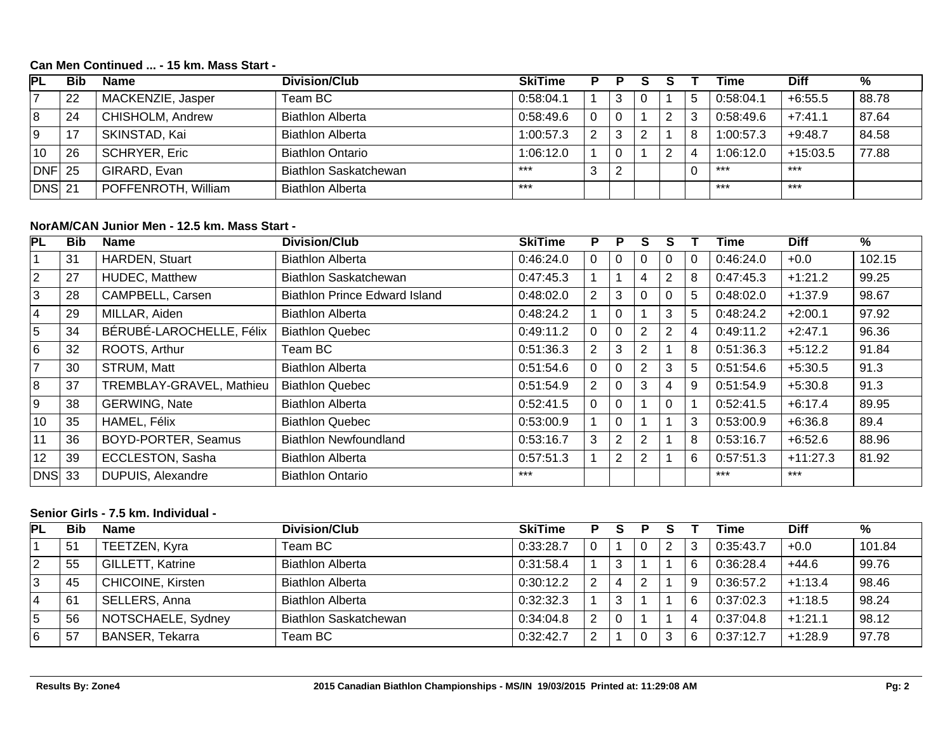## **Can Men Continued ... - 15 km. Mass Start -**

| IPГ            | Bib | <b>Name</b>          | <b>Division/Club</b>         | <b>SkiTime</b> |   |   |  | Time      | <b>Diff</b> | %     |
|----------------|-----|----------------------|------------------------------|----------------|---|---|--|-----------|-------------|-------|
| $\overline{ }$ | 22  | MACKENZIE, Jasper    | Team BC                      | 0:58:04.1      |   | 3 |  | 0:58:04.1 | $+6:55.5$   | 88.78 |
| 8              | 24  | CHISHOLM, Andrew     | <b>Biathlon Alberta</b>      | 0.58:49.6      |   |   |  | 0:58:49.6 | $+7:41.1$   | 87.64 |
| l 9            |     | SKINSTAD, Kai        | <b>Biathlon Alberta</b>      | 1:00:57.3      | っ | 3 |  | 1:00:57.3 | $+9:48.7$   | 84.58 |
| 10             | 26  | <b>SCHRYER, Eric</b> | <b>Biathlon Ontario</b>      | 1:06:12.0      |   | 0 |  | 1:06:12.0 | $+15:03.5$  | 77.88 |
| $DNF$ 25       |     | GIRARD, Evan         | <b>Biathlon Saskatchewan</b> | $***$          | 3 | ာ |  | $***$     | $***$       |       |
| DNS 21         |     | POFFENROTH, William  | <b>Biathlon Alberta</b>      | $***$          |   |   |  | $***$     | $***$       |       |

### **NorAM/CAN Junior Men - 12.5 km. Mass Start -**

| PL             | <b>Bib</b> | <b>Name</b>              | <b>Division/Club</b>                 | <b>SkiTime</b> | P              | P              | S              |             |   | Time      | <b>Diff</b> | %      |
|----------------|------------|--------------------------|--------------------------------------|----------------|----------------|----------------|----------------|-------------|---|-----------|-------------|--------|
|                | 31         | <b>HARDEN, Stuart</b>    | <b>Biathlon Alberta</b>              | 0:46:24.0      |                | 0              |                |             |   | 0:46:24.0 | $+0.0$      | 102.15 |
| $\overline{2}$ | 27         | <b>HUDEC, Matthew</b>    | Biathlon Saskatchewan                | 0:47:45.3      |                |                | 4              | 2           | 8 | 0:47:45.3 | $+1:21.2$   | 99.25  |
| 3              | 28         | CAMPBELL, Carsen         | <b>Biathlon Prince Edward Island</b> | 0:48:02.0      | 2              | 3              | 0              | $\mathbf 0$ | 5 | 0.48:02.0 | $+1:37.9$   | 98.67  |
| $\vert 4$      | 29         | MILLAR, Aiden            | <b>Biathlon Alberta</b>              | 0:48:24.2      |                | $\mathbf 0$    |                | 3           | 5 | 0:48:24.2 | $+2:00.1$   | 97.92  |
| 5              | 34         | BÉRUBÉ-LAROCHELLE, Félix | <b>Biathlon Quebec</b>               | 0:49:11.2      | 0              | 0              | 2              | 2           | 4 | 0:49:11.2 | $+2:47.1$   | 96.36  |
| 6              | 32         | ROOTS, Arthur            | Team BC                              | 0:51:36.3      | 2              | 3              | $\overline{2}$ |             | 8 | 0:51:36.3 | $+5:12.2$   | 91.84  |
| $\overline{7}$ | 30         | STRUM, Matt              | <b>Biathlon Alberta</b>              | 0:51:54.6      | 0              | $\mathbf 0$    | 2              | 3           | 5 | 0:51:54.6 | $+5:30.5$   | 91.3   |
| 8              | 37         | TREMBLAY-GRAVEL, Mathieu | <b>Biathlon Quebec</b>               | 0:51:54.9      | 2              | 0              | 3              | 4           | 9 | 0:51:54.9 | $+5:30.8$   | 91.3   |
| l 9            | 38         | <b>GERWING, Nate</b>     | <b>Biathlon Alberta</b>              | 0:52:41.5      | $\overline{0}$ | $\mathbf 0$    |                | $\mathbf 0$ |   | 0:52:41.5 | $+6:17.4$   | 89.95  |
| 10             | 35         | HAMEL, Félix             | <b>Biathlon Quebec</b>               | 0:53:00.9      |                | $\Omega$       |                |             | 3 | 0:53:00.9 | $+6:36.8$   | 89.4   |
| 11             | 36         | BOYD-PORTER, Seamus      | <b>Biathlon Newfoundland</b>         | 0:53:16.7      | 3              | $\overline{2}$ | 2              |             | 8 | 0:53:16.7 | $+6:52.6$   | 88.96  |
| 12             | 39         | ECCLESTON, Sasha         | <b>Biathlon Alberta</b>              | 0:57:51.3      |                | $\overline{2}$ | 2              |             | 6 | 0:57:51.3 | $+11:27.3$  | 81.92  |
| DNS  33        |            | DUPUIS, Alexandre        | <b>Biathlon Ontario</b>              | $***$          |                |                |                |             |   | $***$     | $***$       |        |

## **Senior Girls - 7.5 km. Individual -**

| PL | <b>Bib</b> | <b>Name</b>              | Division/Club                | <b>SkiTime</b> |   |    |  |   | Time      | <b>Diff</b> | %      |
|----|------------|--------------------------|------------------------------|----------------|---|----|--|---|-----------|-------------|--------|
|    | 51         | TEETZEN, Kyra            | Team BC                      | 0:33:28.7      |   |    |  |   | 0:35:43.7 | $+0.0$      | 101.84 |
| 2  | 55         | GILLETT, Katrine         | <b>Biathlon Alberta</b>      | 0:31:58.4      |   | -3 |  |   | 0:36:28.4 | $+44.6$     | 99.76  |
| 3  | 45         | <b>CHICOINE, Kirsten</b> | <b>Biathlon Alberta</b>      | 0:30:12.2      | റ |    |  | Q | 0:36:57.2 | $+1:13.4$   | 98.46  |
| 4  | 61         | SELLERS, Anna            | <b>Biathlon Alberta</b>      | 0:32:32.3      |   | 3  |  |   | 0:37:02.3 | $+1:18.5$   | 98.24  |
| 5  | 56         | NOTSCHAELE, Sydney       | <b>Biathlon Saskatchewan</b> | 0:34:04.8      | っ | 0  |  |   | 0:37:04.8 | $+1:21.1$   | 98.12  |
| 6  | 57         | <b>BANSER, Tekarra</b>   | Team BC                      | 0:32:42.7      | ົ |    |  |   | 0:37:12.7 | $+1:28.9$   | 97.78  |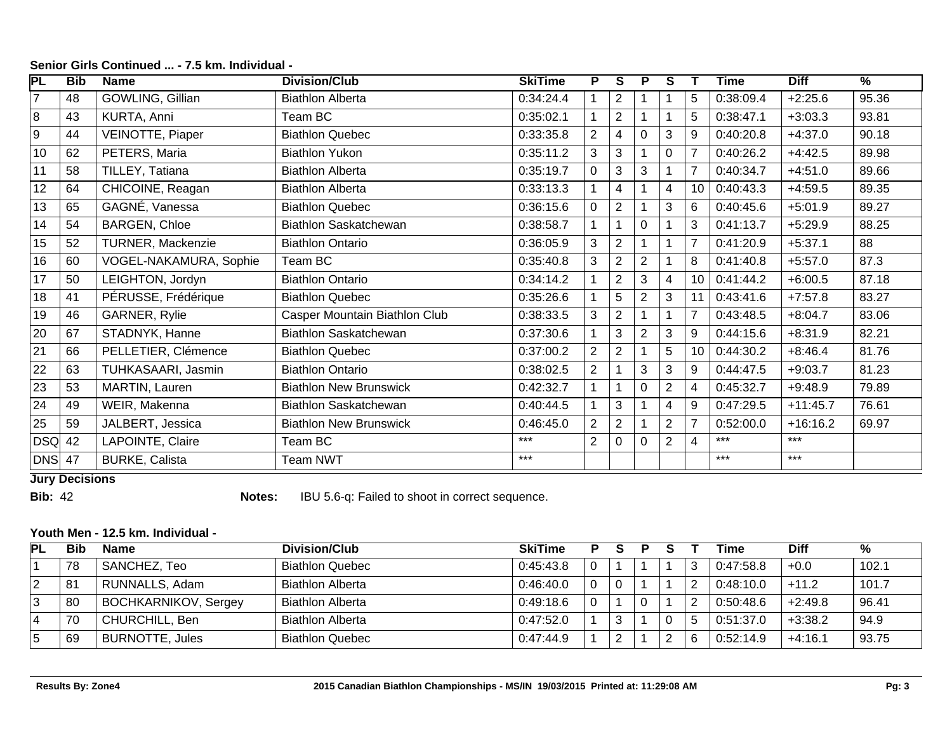| $\overline{\mathsf{PL}}$ | Bib | <b>Name</b>            | <b>Division/Club</b>          | <b>SkiTime</b> | P.             | S              | P              | S              |                 | Time      | <b>Diff</b> | $\overline{\%}$ |
|--------------------------|-----|------------------------|-------------------------------|----------------|----------------|----------------|----------------|----------------|-----------------|-----------|-------------|-----------------|
|                          | 48  | GOWLING, Gillian       | <b>Biathlon Alberta</b>       | 0:34:24.4      |                | $\overline{2}$ |                |                | 5               | 0:38:09.4 | $+2:25.6$   | 95.36           |
| 8                        | 43  | KURTA, Anni            | Team BC                       | 0:35:02.1      |                | $\overline{2}$ |                |                | 5               | 0:38:47.1 | $+3:03.3$   | 93.81           |
| 9                        | 44  | VEINOTTE, Piaper       | <b>Biathlon Quebec</b>        | 0:33:35.8      | $\overline{2}$ | $\overline{4}$ | 0              | 3              | 9               | 0:40:20.8 | $+4:37.0$   | 90.18           |
| 10                       | 62  | PETERS, Maria          | <b>Biathlon Yukon</b>         | 0:35:11.2      | 3              | 3              |                | 0              |                 | 0:40:26.2 | $+4:42.5$   | 89.98           |
| 11                       | 58  | TILLEY, Tatiana        | <b>Biathlon Alberta</b>       | 0:35:19.7      | 0              | 3              | 3              |                |                 | 0:40:34.7 | $+4:51.0$   | 89.66           |
| 12                       | 64  | CHICOINE, Reagan       | <b>Biathlon Alberta</b>       | 0:33:13.3      |                | $\overline{4}$ |                | 4              | 10 <sup>1</sup> | 0:40:43.3 | $+4:59.5$   | 89.35           |
| 13                       | 65  | GAGNÉ, Vanessa         | <b>Biathlon Quebec</b>        | 0:36:15.6      | 0              | 2              |                | 3              | 6               | 0:40:45.6 | $+5:01.9$   | 89.27           |
| 14                       | 54  | <b>BARGEN, Chloe</b>   | <b>Biathlon Saskatchewan</b>  | 0:38:58.7      |                |                | $\mathbf{0}$   |                | 3               | 0:41:13.7 | $+5:29.9$   | 88.25           |
| 15                       | 52  | TURNER, Mackenzie      | <b>Biathlon Ontario</b>       | 0:36:05.9      | 3              | $\overline{2}$ |                |                |                 | 0:41:20.9 | $+5:37.1$   | 88              |
| 16                       | 60  | VOGEL-NAKAMURA, Sophie | Team BC                       | 0:35:40.8      | 3              | $\overline{2}$ | $\overline{2}$ |                | 8               | 0:41:40.8 | $+5:57.0$   | 87.3            |
| 17                       | 50  | LEIGHTON, Jordyn       | <b>Biathlon Ontario</b>       | 0:34:14.2      |                | $\overline{2}$ | 3              | 4              | 10              | 0:41:44.2 | $+6:00.5$   | 87.18           |
| 18                       | 41  | PÉRUSSE, Frédérique    | <b>Biathlon Quebec</b>        | 0:35:26.6      |                | 5              | $\overline{2}$ | 3              |                 | 0:43:41.6 | $+7:57.8$   | 83.27           |
| 19                       | 46  | GARNER, Rylie          | Casper Mountain Biathlon Club | 0:38:33.5      | 3              | $\overline{2}$ |                |                | $\overline{7}$  | 0:43:48.5 | $+8:04.7$   | 83.06           |
| 20                       | 67  | STADNYK, Hanne         | <b>Biathlon Saskatchewan</b>  | 0:37:30.6      |                | 3              | $\overline{2}$ | 3              | 9               | 0:44:15.6 | $+8:31.9$   | 82.21           |
| 21                       | 66  | PELLETIER, Clémence    | <b>Biathlon Quebec</b>        | 0:37:00.2      | $\overline{2}$ | $\overline{2}$ |                | 5              | 10 <sup>1</sup> | 0:44:30.2 | $+8:46.4$   | 81.76           |
| 22                       | 63  | TUHKASAARI, Jasmin     | <b>Biathlon Ontario</b>       | 0:38:02.5      | $\overline{2}$ |                | 3              | 3              | 9               | 0:44:47.5 | $+9:03.7$   | 81.23           |
| 23                       | 53  | MARTIN, Lauren         | <b>Biathlon New Brunswick</b> | 0:42:32.7      |                |                |                | $\overline{2}$ | 4               | 0:45:32.7 | $+9:48.9$   | 79.89           |
| 24                       | 49  | WEIR, Makenna          | <b>Biathlon Saskatchewan</b>  | 0:40:44.5      |                | 3              |                | 4              | 9               | 0:47:29.5 | $+11:45.7$  | 76.61           |
| 25                       | 59  | JALBERT, Jessica       | <b>Biathlon New Brunswick</b> | 0.46:45.0      | $\overline{2}$ | $\overline{2}$ |                | $\overline{2}$ | $\overline{7}$  | 0:52:00.0 | $+16:16.2$  | 69.97           |
| <b>DSQ</b>               | 42  | LAPOINTE, Claire       | Team BC                       | ***            | $\overline{2}$ | 0              |                | $\overline{2}$ | 4               | ***       | $***$       |                 |
| DNS                      | 47  | <b>BURKE, Calista</b>  | <b>Team NWT</b>               | ***            |                |                |                |                |                 | $***$     | $***$       |                 |

## **Senior Girls Continued ... - 7.5 km. Individual -**

**Jury Decisions**

**Bib:** 42 **Notes:** IBU 5.6-q: Failed to shoot in correct sequence.

### **Youth Men - 12.5 km. Individual -**

| PL | Bib | <b>Name</b>                 | Division/Club           | <b>SkiTime</b> |          | D |  | Time      | <b>Diff</b> | ℅     |
|----|-----|-----------------------------|-------------------------|----------------|----------|---|--|-----------|-------------|-------|
|    | 78  | SANCHEZ, Teo                | <b>Biathlon Quebec</b>  | 0:45:43.8      | 0        |   |  | 0:47:58.8 | $+0.0$      | 102.1 |
|    | 81  | RUNNALLS, Adam              | <b>Biathlon Alberta</b> | 0:46:40.0      | $\Omega$ |   |  | 0:48:10.0 | $+11.2$     | 101.7 |
|    | 80  | <b>BOCHKARNIKOV, Sergey</b> | <b>Biathlon Alberta</b> | 0:49:18.6      | 0        |   |  | 0:50:48.6 | $+2:49.8$   | 96.41 |
|    | 70  | CHURCHILL, Ben              | <b>Biathlon Alberta</b> | 0:47:52.0      |          |   |  | 0:51:37.0 | $+3:38.2$   | 94.9  |
|    | 69  | <b>BURNOTTE, Jules</b>      | <b>Biathlon Quebec</b>  | 0:47:44.9      |          |   |  | 0:52:14.9 | $+4:16.1$   | 93.75 |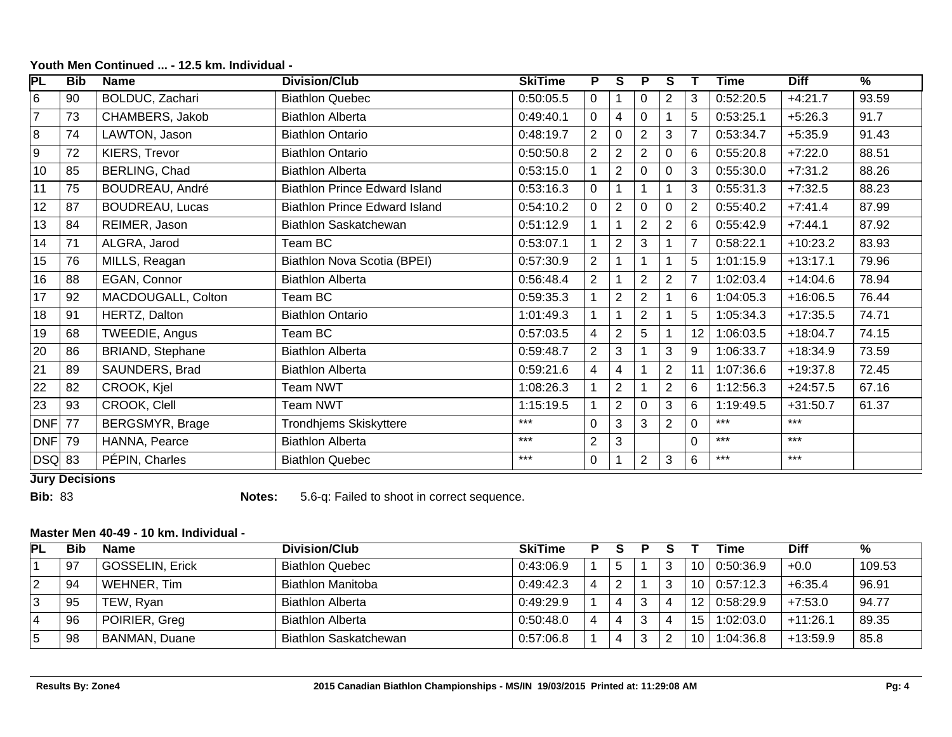| PL         | Bib | <b>Name</b>            | <b>Division/Club</b>                 | <b>SkiTime</b> | P.             | <b>S</b>                | P              | S              |                | <b>Time</b> | <b>Diff</b> | $\frac{9}{6}$ |
|------------|-----|------------------------|--------------------------------------|----------------|----------------|-------------------------|----------------|----------------|----------------|-------------|-------------|---------------|
| 6          | 90  | BOLDUC, Zachari        | <b>Biathlon Quebec</b>               | 0:50:05.5      | $\Omega$       |                         | $\Omega$       | $\overline{2}$ | 3              | 0:52:20.5   | $+4:21.7$   | 93.59         |
| 7          | 73  | CHAMBERS, Jakob        | <b>Biathlon Alberta</b>              | 0:49:40.1      | 0              | $\overline{\mathbf{4}}$ | $\Omega$       |                | 5              | 0:53:25.1   | $+5:26.3$   | 91.7          |
| 8          | 74  | LAWTON, Jason          | <b>Biathlon Ontario</b>              | 0:48:19.7      | $\overline{2}$ | $\mathbf 0$             | $\overline{2}$ | 3              |                | 0:53:34.7   | $+5:35.9$   | 91.43         |
| 9          | 72  | KIERS, Trevor          | <b>Biathlon Ontario</b>              | 0:50:50.8      | $\overline{2}$ | $\overline{2}$          | 2              | 0              | 6              | 0:55:20.8   | $+7:22.0$   | 88.51         |
| 10         | 85  | BERLING, Chad          | <b>Biathlon Alberta</b>              | 0:53:15.0      |                | $\overline{2}$          | $\Omega$       | $\Omega$       | 3              | 0:55:30.0   | $+7:31.2$   | 88.26         |
| 11         | 75  | BOUDREAU, André        | <b>Biathlon Prince Edward Island</b> | 0:53:16.3      | 0              |                         |                |                | 3              | 0:55:31.3   | $+7:32.5$   | 88.23         |
| 12         | 87  | <b>BOUDREAU, Lucas</b> | <b>Biathlon Prince Edward Island</b> | 0:54:10.2      | 0              | 2                       | 0              | $\Omega$       | $\overline{2}$ | 0:55:40.2   | $+7:41.4$   | 87.99         |
| 13         | 84  | REIMER, Jason          | Biathlon Saskatchewan                | 0:51:12.9      |                |                         | $\overline{2}$ | $\overline{2}$ | 6              | 0:55:42.9   | $+7:44.1$   | 87.92         |
| 14         | 71  | ALGRA, Jarod           | Team BC                              | 0:53:07.1      |                | $\overline{2}$          | 3              |                |                | 0:58:22.1   | $+10:23.2$  | 83.93         |
| 15         | 76  | MILLS, Reagan          | Biathlon Nova Scotia (BPEI)          | 0:57:30.9      | $\overline{2}$ |                         |                |                | 5              | 1:01:15.9   | $+13:17.1$  | 79.96         |
| 16         | 88  | EGAN, Connor           | <b>Biathlon Alberta</b>              | 0:56:48.4      | $\overline{2}$ |                         | $\overline{2}$ | $\overline{2}$ |                | 1:02:03.4   | $+14:04.6$  | 78.94         |
| 17         | 92  | MACDOUGALL, Colton     | Team BC                              | 0:59:35.3      |                | $\overline{2}$          | $\overline{2}$ |                | 6              | 1:04:05.3   | $+16:06.5$  | 76.44         |
| 18         | 91  | HERTZ, Dalton          | <b>Biathlon Ontario</b>              | 1:01:49.3      |                |                         | $\overline{2}$ |                | 5              | 1:05:34.3   | $+17:35.5$  | 74.71         |
| 19         | 68  | TWEEDIE, Angus         | Team BC                              | 0:57:03.5      | 4              | $\overline{2}$          | 5              |                | 12             | 1:06:03.5   | $+18:04.7$  | 74.15         |
| 20         | 86  | BRIAND, Stephane       | <b>Biathlon Alberta</b>              | 0:59:48.7      | $\overline{2}$ | 3                       |                | 3              | 9              | 1:06:33.7   | $+18:34.9$  | 73.59         |
| 21         | 89  | SAUNDERS, Brad         | <b>Biathlon Alberta</b>              | 0:59:21.6      | 4              | $\overline{\mathbf{4}}$ |                | $\overline{2}$ | 11             | 1:07:36.6   | $+19:37.8$  | 72.45         |
| 22         | 82  | CROOK, Kjel            | Team NWT                             | 1:08:26.3      |                | $\overline{2}$          |                | $\overline{2}$ | 6              | 1:12:56.3   | $+24:57.5$  | 67.16         |
| 23         | 93  | CROOK, Clell           | <b>Team NWT</b>                      | 1:15:19.5      |                | 2                       | $\Omega$       | 3              | 6              | 1:19:49.5   | $+31:50.7$  | 61.37         |
| <b>DNF</b> | 77  | <b>BERGSMYR, Brage</b> | <b>Trondhjems Skiskyttere</b>        | $***$          | 0              | 3                       | 3              | $\overline{2}$ | $\Omega$       | $***$       | $***$       |               |
| <b>DNF</b> | 79  | HANNA, Pearce          | <b>Biathlon Alberta</b>              | $***$          | $\overline{2}$ | 3                       |                |                | $\Omega$       | $***$       | $***$       |               |
| DSQ        | 83  | PÉPIN, Charles         | <b>Biathlon Quebec</b>               | $***$          | 0              |                         | $\mathbf{2}$   | 3              | 6              | $***$       | $***$       |               |

## **Youth Men Continued ... - 12.5 km. Individual -**

**Jury Decisions**

**Bib:** 83 **Notes:** 5.6-q: Failed to shoot in correct sequence.

## **Master Men 40-49 - 10 km. Individual -**

| <b>PL</b> | Bib | <b>Name</b>            | Division/Club            | <b>SkiTime</b> |   |   |      | Time      | Diff       | %      |
|-----------|-----|------------------------|--------------------------|----------------|---|---|------|-----------|------------|--------|
|           | 97  | <b>GOSSELIN, Erick</b> | <b>Biathlon Quebec</b>   | 0:43:06.9      | 5 |   | 10 I | 0:50:36.9 | $+0.0$     | 109.53 |
| 2         | 94  | WEHNER, Tim            | <b>Biathlon Manitoba</b> | 0:49:42.3      | 2 | ົ | 10 I | 0:57:12.3 | $+6:35.4$  | 96.91  |
|           | 95  | TEW, Ryan              | <b>Biathlon Alberta</b>  | 0:49:29.9      | 4 |   |      | 0:58:29.9 | $+7:53.0$  | 94.77  |
| 4         | 96  | POIRIER, Greg          | <b>Biathlon Alberta</b>  | 0:50:48.0      | 4 |   | 15   | 1:02:03.0 | $+11:26.1$ | 89.35  |
|           | 98  | <b>BANMAN, Duane</b>   | Biathlon Saskatchewan    | 0:57:06.8      |   |   |      | 1:04:36.8 | $+13:59.9$ | 85.8   |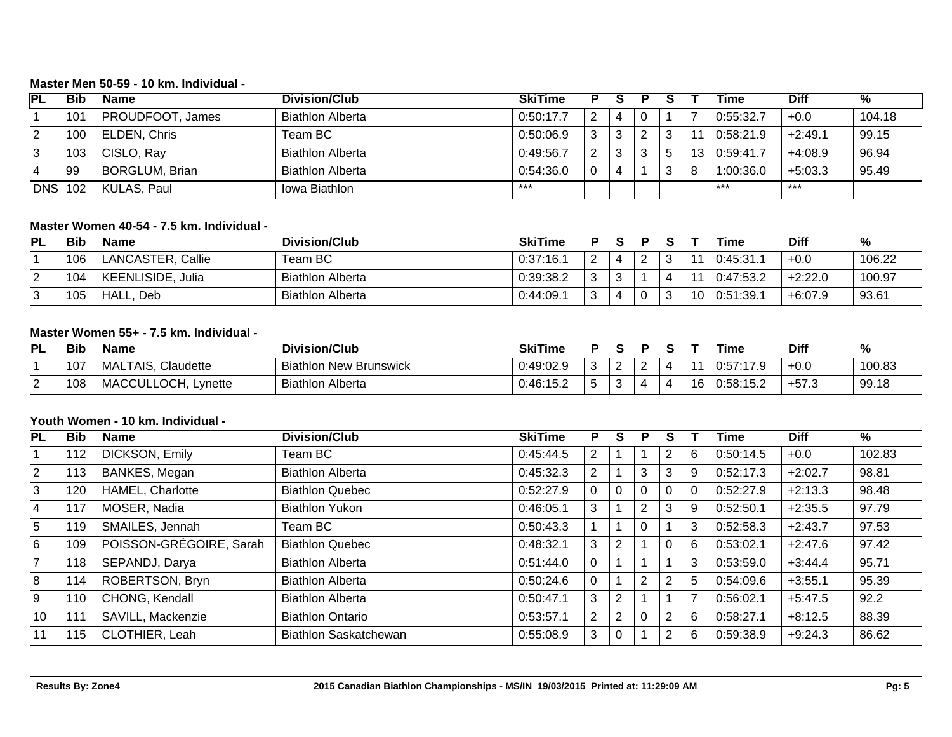#### **Master Men 50-59 - 10 km. Individual -**

| <b>PL</b>  | Bib | <b>Name</b>           | Division/Club           | <b>SkiTime</b> |               |   |   |                 | Time      | Diff      | %      |
|------------|-----|-----------------------|-------------------------|----------------|---------------|---|---|-----------------|-----------|-----------|--------|
|            | 101 | PROUDFOOT, James      | <b>Biathlon Alberta</b> | 0:50:17.7      | 2             | 4 |   |                 | 0:55:32.7 | $+0.0$    | 104.18 |
| ⊻          | 100 | ELDEN, Chris          | Team BC                 | 0:50:06.9      | 3             |   | 2 | -44             | 0:58:21.9 | $+2:49.1$ | 99.15  |
| ు          | 103 | CISLO, Ray            | <b>Biathlon Alberta</b> | 0:49:56.7      | $\mathcal{P}$ |   | 3 | 13 <sup>1</sup> | 0:59:41.7 | $+4:08.9$ | 96.94  |
| $\Delta$   | 99  | <b>BORGLUM, Brian</b> | <b>Biathlon Alberta</b> | 0:54:36.0      | 0             | 4 |   |                 | 1:00:36.0 | $+5:03.3$ | 95.49  |
| <b>DNS</b> | 102 | KULAS, Paul           | Iowa Biathlon           | $***$          |               |   |   |                 | $***$     | $***$     |        |

#### **Master Women 40-54 - 7.5 km. Individual -**

| <b>PL</b> | <b>Bib</b> | Name                     | Division/Club           | <b>SkiTime</b> |             |            |          |                 | Time      | Diff      | ℅      |
|-----------|------------|--------------------------|-------------------------|----------------|-------------|------------|----------|-----------------|-----------|-----------|--------|
|           | 106        | LANCASTER, Callie        | Team BC                 | 0:37:16.1      | ⌒           |            | <u>.</u> |                 | 0:45:31.1 | $+0.0$    | 106.22 |
| ∠         | 104        | <b>KEENLISIDE, Julia</b> | <b>Biathlon Alberta</b> | 0:39:38.2      | ົ<br>J      |            |          |                 | 0:47:53.2 | $+2:22.0$ | 100.97 |
|           | 105        | HALL,<br>Deb             | <b>Biathlon Alberta</b> | 0:44:09.1      | $\sim$<br>د | $\sqrt{ }$ |          | 10 <sup>1</sup> | 0:51:39.1 | +6:07.9   | 93.61  |

## **Master Women 55+ - 7.5 km. Individual -**

| PL       | <b>Bib</b> | <b>Name</b>                                  | <b>Division/Club</b>        | <b>SkiTime</b> |            |   |         | Time          | <b>Diff</b>    | %      |
|----------|------------|----------------------------------------------|-----------------------------|----------------|------------|---|---------|---------------|----------------|--------|
|          | 107        | <b>TAIS</b><br>Claudette<br>MAL <sup>-</sup> | Biathlon New<br>/ Brunswick | 0:49:02.9      | $\sqrt{ }$ | 4 |         | 0:57:<br>ت. ، | $+0.0$         | 100.83 |
| <u>_</u> | 108        | ULLOCH, Lynette:<br><b>MACCUL</b>            | <b>Biathlon Alberta</b>     | 0:46:15.2      | л.         | 4 | 16<br>u | 0:58:15.2     | $-7$<br>ົ+57.ບ | 99.18  |

#### **Youth Women - 10 km. Individual -**

| PL             | <b>Bib</b> | <b>Name</b>             | <b>Division/Club</b>    | <b>SkiTime</b> | P              | S              | Р              |                |                | Time      | <b>Diff</b> | $\overline{\%}$ |
|----------------|------------|-------------------------|-------------------------|----------------|----------------|----------------|----------------|----------------|----------------|-----------|-------------|-----------------|
|                | 112        | DICKSON, Emily          | Team BC                 | 0:45:44.5      | $\overline{2}$ |                |                | 2              | 6              | 0:50:14.5 | $+0.0$      | 102.83          |
| $\overline{2}$ | 113        | BANKES, Megan           | <b>Biathlon Alberta</b> | 0:45:32.3      | $\overline{2}$ |                | 3              | 3              | 9              | 0:52:17.3 | $+2:02.7$   | 98.81           |
| 3              | 120        | HAMEL, Charlotte        | <b>Biathlon Quebec</b>  | 0:52:27.9      | 0              | $\Omega$       | $\Omega$       | $\overline{0}$ | 0              | 0:52:27.9 | $+2:13.3$   | 98.48           |
| $\overline{4}$ | 117        | MOSER, Nadia            | <b>Biathlon Yukon</b>   | 0:46:05.1      | 3              |                | 2              | 3              | 9              | 0:52:50.1 | $+2:35.5$   | 97.79           |
| 5              | 119        | SMAILES, Jennah         | Team BC                 | 0:50:43.3      |                |                | $\Omega$       |                | 3              | 0:52:58.3 | $+2:43.7$   | 97.53           |
| 6              | 109        | POISSON-GRÉGOIRE, Sarah | <b>Biathlon Quebec</b>  | 0:48:32.1      | 3              | $\overline{2}$ |                | $\mathbf 0$    | 6              | 0:53:02.1 | $+2:47.6$   | 97.42           |
| $\overline{7}$ | 118        | SEPANDJ, Darya          | <b>Biathlon Alberta</b> | 0:51:44.0      | 0              |                |                |                | 3              | 0:53:59.0 | $+3:44.4$   | 95.71           |
| 8              | 114        | ROBERTSON, Bryn         | <b>Biathlon Alberta</b> | 0:50:24.6      | 0              |                | $\overline{2}$ | $\overline{2}$ | 5              | 0:54:09.6 | $+3:55.1$   | 95.39           |
| 9              | 110        | CHONG, Kendall          | <b>Biathlon Alberta</b> | 0:50:47.1      | 3              | $\overline{2}$ |                |                | $\overline{7}$ | 0:56:02.1 | $+5:47.5$   | 92.2            |
| 10             | 111        | SAVILL, Mackenzie       | <b>Biathlon Ontario</b> | 0:53:57.1      | $\overline{2}$ | 2              | $\Omega$       | 2              | 6              | 0:58:27.1 | $+8:12.5$   | 88.39           |
| $11$           | 115        | CLOTHIER, Leah          | Biathlon Saskatchewan   | 0:55:08.9      | 3              | 0              |                | 2              | 6              | 0:59:38.9 | $+9:24.3$   | 86.62           |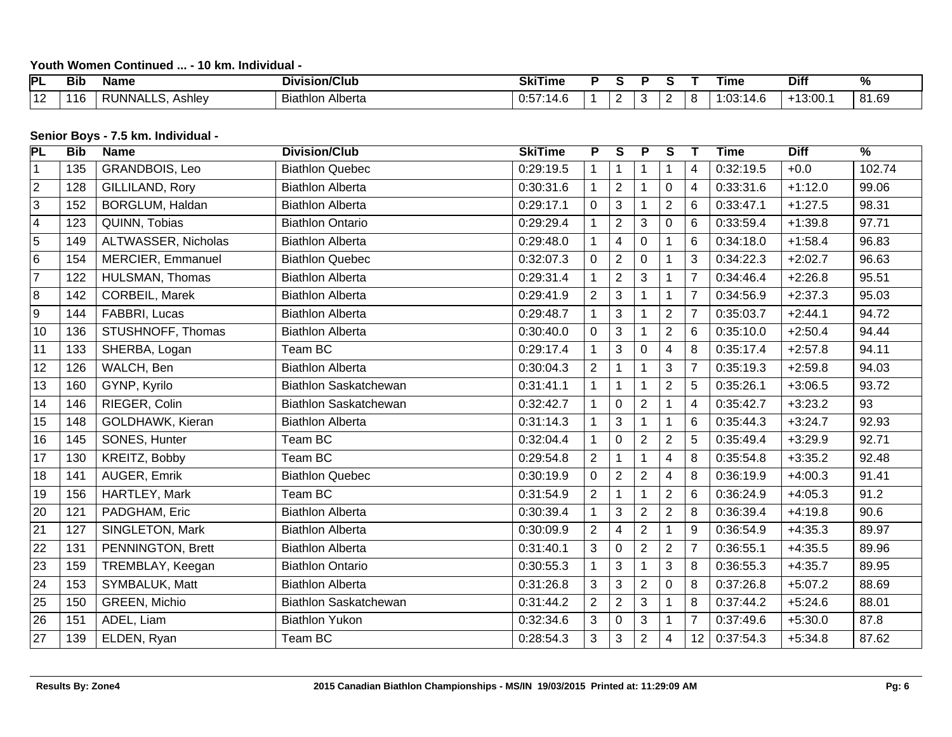## **Youth Women Continued ... - 10 km. Individual -**

| PL                       | <b>Bib</b> | Name                          | <b>Division/Club</b> | <b>CIAT</b><br>Time<br>ואכ |  |     |  | ⊺ıme                           | <b>Diff</b>    | $\mathbf{a}$  |
|--------------------------|------------|-------------------------------|----------------------|----------------------------|--|-----|--|--------------------------------|----------------|---------------|
| $\overline{ }$<br>$\sim$ |            | INNA.<br><b>Ashley</b><br>. . | Alberta<br>Biathlon  | 14.L<br>ບ.ບ.               |  | . . |  | $\sim$<br>۰. م<br>14.C<br>.UJ. | 0.00<br>10.UU. | 81.69<br>י Ωי |

#### **Senior Boys - 7.5 km. Individual -**

| PL              | <b>Bib</b> | <b>Name</b>            | <b>Division/Club</b>         | <b>SkiTime</b> | $\overline{P}$ | S              | P              | S              |                 | <b>Time</b> | <b>Diff</b> | $\overline{\frac{9}{6}}$ |
|-----------------|------------|------------------------|------------------------------|----------------|----------------|----------------|----------------|----------------|-----------------|-------------|-------------|--------------------------|
| $\overline{1}$  | 135        | GRANDBOIS, Leo         | <b>Biathlon Quebec</b>       | 0:29:19.5      |                | $\mathbf{1}$   | 1              | 1              | 4               | 0:32:19.5   | $+0.0$      | 102.74                   |
| $\overline{2}$  | 128        | GILLILAND, Rory        | <b>Biathlon Alberta</b>      | 0:30:31.6      |                | $\overline{2}$ | $\mathbf 1$    | 0              | $\overline{4}$  | 0:33:31.6   | $+1:12.0$   | 99.06                    |
| $\overline{3}$  | 152        | <b>BORGLUM, Haldan</b> | <b>Biathlon Alberta</b>      | 0:29:17.1      | 0              | 3              |                | $\overline{2}$ | 6               | 0:33:47.1   | $+1:27.5$   | 98.31                    |
| $\boxed{4}$     | 123        | QUINN, Tobias          | <b>Biathlon Ontario</b>      | 0:29:29.4      |                | $\overline{2}$ | 3              | 0              | 6               | 0:33:59.4   | $+1:39.8$   | 97.71                    |
| $\overline{5}$  | 149        | ALTWASSER, Nicholas    | <b>Biathlon Alberta</b>      | 0:29:48.0      |                | $\overline{4}$ | $\mathbf 0$    |                | 6               | 0:34:18.0   | $+1:58.4$   | 96.83                    |
| $\overline{6}$  | 154        | MERCIER, Emmanuel      | <b>Biathlon Quebec</b>       | 0:32:07.3      | 0              | $\overline{2}$ | $\mathbf 0$    | 1              | 3               | 0:34:22.3   | $+2:02.7$   | 96.63                    |
| $\overline{7}$  | 122        | HULSMAN, Thomas        | <b>Biathlon Alberta</b>      | 0:29:31.4      |                | $\overline{2}$ | $\mathbf{3}$   | 1              | $\overline{7}$  | 0:34:46.4   | $+2:26.8$   | 95.51                    |
| $\overline{8}$  | 142        | <b>CORBEIL, Marek</b>  | <b>Biathlon Alberta</b>      | 0:29:41.9      | $\overline{2}$ | 3              |                | 1              | $\overline{7}$  | 0:34:56.9   | $+2:37.3$   | 95.03                    |
| $\overline{9}$  | 144        | FABBRI, Lucas          | <b>Biathlon Alberta</b>      | 0:29:48.7      |                | 3              |                | $\overline{c}$ | $\overline{7}$  | 0:35:03.7   | $+2:44.1$   | 94.72                    |
| 10              | 136        | STUSHNOFF, Thomas      | <b>Biathlon Alberta</b>      | 0:30:40.0      | $\overline{0}$ | 3              |                | $\overline{2}$ | 6               | 0:35:10.0   | $+2:50.4$   | 94.44                    |
| $\overline{11}$ | 133        | SHERBA, Logan          | Team BC                      | 0:29:17.4      |                | 3              | 0              | 4              | 8               | 0:35:17.4   | $+2:57.8$   | 94.11                    |
| 12              | 126        | WALCH, Ben             | <b>Biathlon Alberta</b>      | 0:30:04.3      | $\overline{2}$ | $\mathbf 1$    |                | 3              | 7               | 0:35:19.3   | $+2:59.8$   | 94.03                    |
| 13              | 160        | GYNP, Kyrilo           | <b>Biathlon Saskatchewan</b> | 0:31:41.1      |                | $\mathbf{1}$   | $\mathbf 1$    | $\overline{c}$ | 5               | 0:35:26.1   | $+3:06.5$   | 93.72                    |
| 14              | 146        | RIEGER, Colin          | <b>Biathlon Saskatchewan</b> | 0:32:42.7      |                | 0              | $\overline{2}$ | 1              | 4               | 0:35:42.7   | $+3:23.2$   | 93                       |
| 15              | 148        | GOLDHAWK, Kieran       | <b>Biathlon Alberta</b>      | 0:31:14.3      |                | 3              |                | 1              | 6               | 0:35:44.3   | $+3:24.7$   | 92.93                    |
| 16              | 145        | SONES, Hunter          | Team BC                      | 0:32:04.4      |                | $\pmb{0}$      | $\overline{2}$ | $\overline{2}$ | 5               | 0:35:49.4   | $+3:29.9$   | 92.71                    |
| 17              | 130        | KREITZ, Bobby          | Team BC                      | 0:29:54.8      | $\overline{2}$ | $\mathbf{1}$   | 1              | 4              | 8               | 0:35:54.8   | $+3:35.2$   | 92.48                    |
| $\overline{18}$ | 141        | AUGER, Emrik           | <b>Biathlon Quebec</b>       | 0:30:19.9      | 0              | $\overline{2}$ | $\overline{2}$ | 4              | 8               | 0:36:19.9   | $+4:00.3$   | 91.41                    |
| 19              | 156        | HARTLEY, Mark          | Team BC                      | 0:31:54.9      | $\overline{2}$ | $\mathbf{1}$   | $\mathbf{1}$   | $\overline{2}$ | 6               | 0:36:24.9   | $+4:05.3$   | 91.2                     |
| $\overline{20}$ | 121        | PADGHAM, Eric          | <b>Biathlon Alberta</b>      | 0:30:39.4      |                | 3              | $\overline{2}$ | $\overline{2}$ | 8               | 0:36:39.4   | $+4:19.8$   | 90.6                     |
| $\overline{21}$ | 127        | SINGLETON, Mark        | <b>Biathlon Alberta</b>      | 0:30:09.9      | $\overline{2}$ | 4              | $\overline{2}$ |                | 9               | 0:36:54.9   | $+4:35.3$   | 89.97                    |
| $\sqrt{22}$     | 131        | PENNINGTON, Brett      | <b>Biathlon Alberta</b>      | 0:31:40.1      | 3              | $\pmb{0}$      | $\overline{2}$ | $\overline{2}$ | $\overline{7}$  | 0:36:55.1   | $+4:35.5$   | 89.96                    |
| 23              | 159        | TREMBLAY, Keegan       | <b>Biathlon Ontario</b>      | 0:30:55.3      |                | 3              | 1              | 3              | 8               | 0:36:55.3   | $+4:35.7$   | 89.95                    |
| $\sqrt{24}$     | 153        | SYMBALUK, Matt         | <b>Biathlon Alberta</b>      | 0:31:26.8      | 3              | 3              | $\overline{2}$ | $\Omega$       | 8               | 0:37:26.8   | $+5:07.2$   | 88.69                    |
| 25              | 150        | GREEN, Michio          | <b>Biathlon Saskatchewan</b> | 0:31:44.2      | $\overline{2}$ | $\overline{2}$ | $\overline{3}$ | $\mathbf{1}$   | 8               | 0:37:44.2   | $+5:24.6$   | 88.01                    |
| 26              | 151        | ADEL, Liam             | <b>Biathlon Yukon</b>        | 0:32:34.6      | 3              | 0              | 3              | 1              | $\overline{7}$  | 0:37:49.6   | $+5:30.0$   | 87.8                     |
| $\sqrt{27}$     | 139        | ELDEN, Ryan            | Team BC                      | 0:28:54.3      | 3              | 3              | $\overline{2}$ | 4              | 12 <sup>2</sup> | 0:37:54.3   | $+5:34.8$   | 87.62                    |